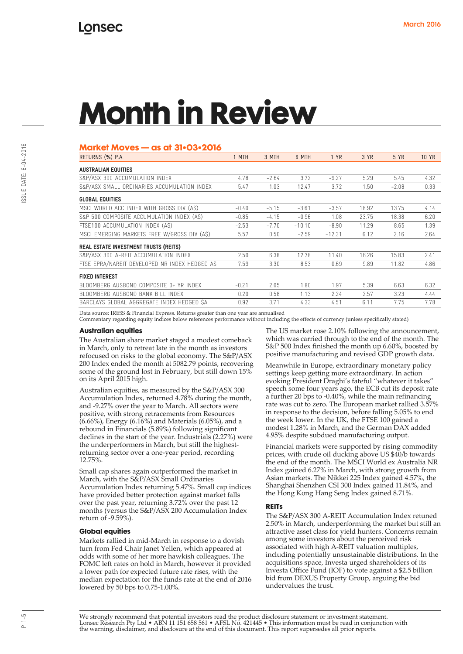# **Market Moves — as at 31•03•2016**

| RETURNS (%) P.A.                              | 1 MTH   | 3 MTH   | 6 MTH    | 1 YR     | 3 YR  | 5 YR    | <b>10 YR</b> |
|-----------------------------------------------|---------|---------|----------|----------|-------|---------|--------------|
| <b>AUSTRALIAN EQUITIES</b>                    |         |         |          |          |       |         |              |
| S&P/ASX 300 ACCUMULATION INDEX                | 4.78    | $-2.64$ | 3.72     | $-9.27$  | 5.29  | 5.45    | 4.32         |
| S&P/ASX SMALL ORDINARIES ACCUMULATION INDEX   | 5.47    | 1.03    | 12.47    | 3.72     | 1.50  | $-2.08$ | 0.33         |
| <b>GLOBAL EQUITIES</b>                        |         |         |          |          |       |         |              |
| MSCI WORLD ACC INDEX WITH GROSS DIV (AS)      | $-0.40$ | $-5.15$ | $-3.61$  | $-3.57$  | 18.92 | 13.75   | 4.14         |
| S&P 500 COMPOSITE ACCUMULATION INDEX (AS)     | $-0.85$ | $-4.15$ | $-0.96$  | 1.08     | 23.75 | 18.38   | 6.20         |
| FTSE100 ACCUMULATION INDEX (AS)               | $-2.53$ | $-7.70$ | $-10.10$ | $-8.90$  | 11.29 | 8.65    | 1.39         |
| MSCI EMERGING MARKETS FREE W/GROSS DIV (AS)   | 5.57    | 0.50    | $-2.59$  | $-12.31$ | 6.12  | 2.16    | 2.64         |
| <b>REAL ESTATE INVESTMENT TRUSTS (REITS)</b>  |         |         |          |          |       |         |              |
| S&P/ASX 300 A-REIT ACCUMULATION INDEX         | 2.50    | 6.38    | 12.78    | 11.40    | 16.26 | 15.83   | 2.41         |
| FTSE EPRA/NAREIT DEVELOPED NR INDEX HEDGED AS | 7.59    | 3.30    | 8.53     | 0.69     | 9.89  | 11.82   | 4.86         |
| <b>FIXED INTEREST</b>                         |         |         |          |          |       |         |              |
| BLOOMBERG AUSBOND COMPOSITE 0+ YR INDEX       | $-0.21$ | 2.05    | 1.80     | 1.97     | 5.39  | 6.63    | 6.32         |
| BLOOMBERG AUSBOND BANK BILL INDEX             | 0.20    | 0.58    | 1.13     | 2.24     | 2.57  | 3.23    | 4.44         |
| BARCLAYS GLOBAL AGGREGATE INDEX HEDGED SA     | 0.92    | 3.71    | 4.33     | 4.51     | 6.11  | 7.75    | 7.78         |

Data source: IRESS & Financial Express. Returns greater than one year are annualised

Commentary regarding equity indices below references performance without including the effects of currency (unless specifically stated)

### **Australian equities**

The Australian share market staged a modest comeback in March, only to retreat late in the month as investors refocused on risks to the global economy. The S&P/ASX 200 Index ended the month at 5082.79 points, recovering some of the ground lost in February, but still down 15% on its April 2015 high.

Australian equities, as measured by the S&P/ASX 300 Accumulation Index, returned 4.78% during the month, and -9.27% over the year to March. All sectors were positive, with strong retracements from Resources (6.66%), Energy (6.16%) and Materials (6.05%), and a rebound in Financials (5.89%) following significant declines in the start of the year. Industrials (2.27%) were the underperformers in March, but still the highestreturning sector over a one-year period, recording 12.75%.

Small cap shares again outperformed the market in March, with the S&P/ASX Small Ordinaries Accumulation Index returning 5.47%. Small cap indices have provided better protection against market falls over the past year, returning 3.72% over the past 12 months (versus the S&P/ASX 200 Accumulation Index return of -9.59%).

### **Global equities**

Markets rallied in mid-March in response to a dovish turn from Fed Chair Janet Yellen, which appeared at odds with some of her more hawkish colleagues. The FOMC left rates on hold in March, however it provided a lower path for expected future rate rises, with the median expectation for the funds rate at the end of 2016 lowered by 50 bps to 0.75-1.00%.

The US market rose 2.10% following the announcement, which was carried through to the end of the month. The S&P 500 Index finished the month up 6.60%, boosted by positive manufacturing and revised GDP growth data.

Meanwhile in Europe, extraordinary monetary policy settings keep getting more extraordinary. In action evoking President Draghi's fateful "whatever it takes" speech some four years ago, the ECB cut its deposit rate a further 20 bps to -0.40%, while the main refinancing rate was cut to zero. The European market rallied 3.57% in response to the decision, before falling 5.05% to end the week lower. In the UK, the FTSE 100 gained a modest 1.28% in March, and the German DAX added 4.95% despite subdued manufacturing output.

Financial markets were supported by rising commodity prices, with crude oil ducking above US \$40/b towards the end of the month. The MSCI World ex Australia NR Index gained 6.27% in March, with strong growth from Asian markets. The Nikkei 225 Index gained 4.57%, the Shanghai Shenzhen CSI 300 Index gained 11.84%, and the Hong Kong Hang Seng Index gained 8.71%.

#### **REITs**

The S&P/ASX 300 A-REIT Accumulation Index retuned 2.50% in March, underperforming the market but still an attractive asset class for yield hunters. Concerns remain among some investors about the perceived risk associated with high A-REIT valuation multiples, including potentially unsustainable distributions. In the acquisitions space, Investa urged shareholders of its Investa Office Fund (IOF) to vote against a \$2.5 billion bid from DEXUS Property Group, arguing the bid undervalues the trust.

We strongly recommend that potential investors read the product disclosure statement or investment statement.<br>Lonsec Research Pty Ltd • ABN 11 151 658 561 • AFSL No. 421445 • This information must be read in conjunction wi the warning, disclaimer, and disclosure at the end of this document. This report supersedes all prior reports.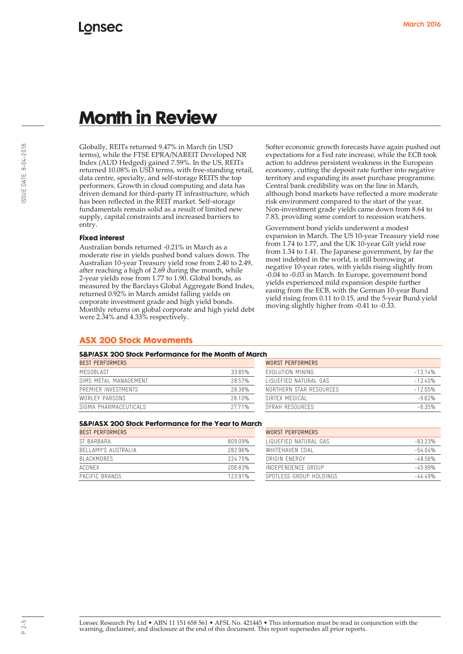Globally, REITs returned 9.47% in March (in USD terms), while the FTSE EPRA/NAREIT Developed NR Index (AUD Hedged) gained 7.59%. In the US, REITs returned 10.08% in USD terms, with free-standing retail, data centre, specialty, and self-storage REITS the top performers. Growth in cloud computing and data has driven demand for third-party IT infrastructure, which has been reflected in the REIT market. Self-storage fundamentals remain solid as a result of limited new supply, capital constraints and increased barriers to entry.

### **Fixed interest**

Australian bonds returned -0.21% in March as a moderate rise in yields pushed bond values down. The Australian 10-year Treasury yield rose from 2.40 to 2.49, after reaching a high of 2.69 during the month, while 2-year yields rose from 1.77 to 1.90. Global bonds, as measured by the Barclays Global Aggregate Bond Index, returned 0.92% in March amidst falling yields on corporate investment grade and high yield bonds. Monthly returns on global corporate and high yield debt were 2.34% and 4.33% respectively.

Softer economic growth forecasts have again pushed out expectations for a Fed rate increase, while the ECB took action to address persistent weakness in the European economy, cutting the deposit rate further into negative territory and expanding its asset purchase programme. Central bank credibility was on the line in March, although bond markets have reflected a more moderate risk environment compared to the start of the year. Non-investment grade yields came down from 8.64 to 7.83, providing some comfort to recession watchers.

Government bond yields underwent a modest expansion in March. The US 10-year Treasury yield rose from 1.74 to 1.77, and the UK 10-year Gilt yield rose from 1.34 to 1.41. The Japanese government, by far the most indebted in the world, is still borrowing at negative 10-year rates, with yields rising slightly from -0.04 to -0.03 in March. In Europe, government bond yields experienced mild expansion despite further easing from the ECB, with the German 10-year Bund yield rising from 0.11 to 0.15, and the 5-year Bund yield moving slightly higher from -0.41 to -0.33.

# **ASX 200 Stock Movements**

### **S&P/ASX 200 Stock Performance for the Month of March**

| WORST PERFORMERS                     |  |  |
|--------------------------------------|--|--|
| FVOLUTION MINING<br>$-13.14%$        |  |  |
| LIQUEFIED NATURAL GAS<br>$-12.40%$   |  |  |
| NORTHERN STAR RESOURCES<br>$-12.05%$ |  |  |
| $-9.62%$<br>SIRTEX MEDICAL           |  |  |
| $-8.35%$<br>SYRAH RESOURCES          |  |  |
|                                      |  |  |

| . .                           |           |  |  |  |  |  |
|-------------------------------|-----------|--|--|--|--|--|
| WORST PFRFORMFRS              |           |  |  |  |  |  |
| <b>FVOLUTION MINING</b>       | $-13.14%$ |  |  |  |  |  |
| <b>I IQUEFIED NATURAL GAS</b> | $-1240%$  |  |  |  |  |  |
| NORTHERN STAR RESOURCES       | $-1205%$  |  |  |  |  |  |
| SIRTEX MEDICAL                | $-962%$   |  |  |  |  |  |
| SYRAH RESOURCES               | $-8.35%$  |  |  |  |  |  |

# **S&P/ASX 200 Stock Performance for the Year to March**

| <b>BEST PERFORMERS</b> |         | WORST PERFORMERS        |            |  |
|------------------------|---------|-------------------------|------------|--|
| ST BARBARA             | 809.09% | LIQUEEIED NATURAL GAS   | $-83.23%$  |  |
| BELLAMY'S AUSTRALIA    | 282.96% | WHITFHAVFN COAL         | $-54.04\%$ |  |
| BI ACKMORES            | 22475%  | ORIGIN FNFRGY           | $-48.56%$  |  |
| ACONEX                 | 20683%  | INDEPENDENCE GROUP      | $-45.99%$  |  |
| PACIFIC BRANDS         | 123.91% | SPOTLESS GROUP HOLDINGS | $-44.49%$  |  |

| <b>WORST PERFORMERS</b> |           |
|-------------------------|-----------|
| LIQUEEIED NATURAL GAS   | $-8323%$  |
| WHITFHAVEN COAL         | $-54.04%$ |
| ORIGIN ENERGY           | $-48.56%$ |
| INDEPENDENCE GROUP      | $-45.99%$ |
| SPOTLESS GROUP HOLDINGS | $-4449%$  |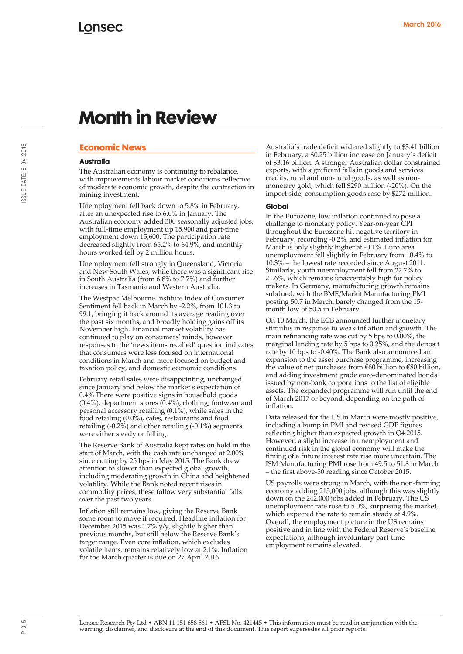# **Economic News**

## **Australia**

The Australian economy is continuing to rebalance, with improvements labour market conditions reflective of moderate economic growth, despite the contraction in mining investment.

Unemployment fell back down to 5.8% in February, after an unexpected rise to 6.0% in January. The Australian economy added 300 seasonally adjusted jobs, with full-time employment up 15,900 and part-time employment down 15,600. The participation rate decreased slightly from 65.2% to 64.9%, and monthly hours worked fell by 2 million hours.

Unemployment fell strongly in Queensland, Victoria and New South Wales, while there was a significant rise in South Australia (from 6.8% to 7.7%) and further increases in Tasmania and Western Australia.

The Westpac Melbourne Institute Index of Consumer Sentiment fell back in March by -2.2%, from 101.3 to 99.1, bringing it back around its average reading over the past six months, and broadly holding gains off its November high. Financial market volatility has continued to play on consumers' minds, however responses to the 'news items recalled' question indicates that consumers were less focused on international conditions in March and more focused on budget and taxation policy, and domestic economic conditions.

February retail sales were disappointing, unchanged since January and below the market's expectation of 0.4% There were positive signs in household goods  $(0.4\%)$ , department stores  $(0.4\%)$ , clothing, footwear and personal accessory retailing (0.1%), while sales in the food retailing (0.0%), cafes, restaurants and food retailing (-0.2%) and other retailing (-0.1%) segments were either steady or falling.

The Reserve Bank of Australia kept rates on hold in the start of March, with the cash rate unchanged at 2.00% since cutting by 25 bps in May 2015. The Bank drew attention to slower than expected global growth, including moderating growth in China and heightened volatility. While the Bank noted recent rises in commodity prices, these follow very substantial falls over the past two years.

Inflation still remains low, giving the Reserve Bank some room to move if required. Headline inflation for December 2015 was 1.7% y/y, slightly higher than previous months, but still below the Reserve Bank's target range. Even core inflation, which excludes volatile items, remains relatively low at 2.1%. Inflation for the March quarter is due on 27 April 2016.

Australia's trade deficit widened slightly to \$3.41 billion in February, a \$0.25 billion increase on January's deficit of \$3.16 billion. A stronger Australian dollar constrained exports, with significant falls in goods and services credits, rural and non-rural goods, as well as nonmonetary gold, which fell \$290 million (-20%). On the import side, consumption goods rose by \$272 million.

### **Global**

In the Eurozone, low inflation continued to pose a challenge to monetary policy. Year-on-year CPI throughout the Eurozone hit negative territory in February, recording -0.2%, and estimated inflation for March is only slightly higher at -0.1%. Euro area unemployment fell slightly in February from 10.4% to 10.3% – the lowest rate recorded since August 2011. Similarly, youth unemployment fell from 22.7% to 21.6%, which remains unacceptably high for policy makers. In Germany, manufacturing growth remains subdued, with the BME/Markit Manufacturing PMI posting 50.7 in March, barely changed from the 15 month low of 50.5 in February.

On 10 March, the ECB announced further monetary stimulus in response to weak inflation and growth. The main refinancing rate was cut by 5 bps to 0.00%, the marginal lending rate by 5 bps to 0.25%, and the deposit rate by 10 bps to -0.40%. The Bank also announced an expansion to the asset purchase programme, increasing the value of net purchases from  $\epsilon$ 60 billion to  $\epsilon$ 80 billion, and adding investment grade euro-denominated bonds issued by non-bank corporations to the list of eligible assets. The expanded programme will run until the end of March 2017 or beyond, depending on the path of inflation.

Data released for the US in March were mostly positive, including a bump in PMI and revised GDP figures reflecting higher than expected growth in Q4 2015. However, a slight increase in unemployment and continued risk in the global economy will make the timing of a future interest rate rise more uncertain. The ISM Manufacturing PMI rose from 49.5 to 51.8 in March – the first above-50 reading since October 2015.

US payrolls were strong in March, with the non-farming economy adding 215,000 jobs, although this was slightly down on the 242,000 jobs added in February. The US unemployment rate rose to 5.0%, surprising the market, which expected the rate to remain steady at 4.9%. Overall, the employment picture in the US remains positive and in line with the Federal Reserve's baseline expectations, although involuntary part-time employment remains elevated.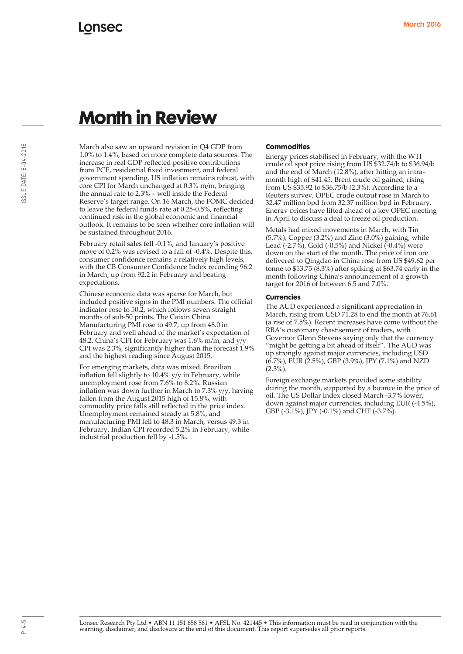March also saw an upward revision in Q4 GDP from 1.0% to 1.4%, based on more complete data sources. The increase in real GDP reflected positive contributions from PCE, residential fixed investment, and federal government spending. US inflation remains robust, with core CPI for March unchanged at 0.3% m/m, bringing the annual rate to 2.3% – well inside the Federal Reserve's target range. On 16 March, the FOMC decided to leave the federal funds rate at 0.25-0.5%, reflecting continued risk in the global economic and financial outlook. It remains to be seen whether core inflation will be sustained throughout 2016.

February retail sales fell -0.1%, and January's positive move of 0.2% was revised to a fall of -0.4%. Despite this, consumer confidence remains a relatively high levels, with the CB Consumer Confidence Index recording 96.2 in March, up from 92.2 in February and beating expectations.

Chinese economic data was sparse for March, but included positive signs in the PMI numbers. The official indicator rose to 50.2, which follows seven straight months of sub-50 prints. The Caixin China Manufacturing PMI rose to 49.7, up from 48.0 in February and well ahead of the market's expectation of 48.2. China's CPI for February was 1.6% m/m, and y/y CPI was 2.3%, significantly higher than the forecast 1.9% and the highest reading since August 2015.

For emerging markets, data was mixed. Brazilian inflation fell slightly to 10.4% y/y in February, while unemployment rose from 7.6% to 8.2%. Russian inflation was down further in March to 7.3% y/y, having fallen from the August 2015 high of 15.8%, with commodity price falls still reflected in the price index. Unemployment remained steady at 5.8%, and manufacturing PMI fell to 48.3 in March, versus 49.3 in February. Indian CPI recorded 5.2% in February, while industrial production fell by -1.5%.

### **Commodities**

Energy prices stabilised in February, with the WTI crude oil spot price rising from US \$32.74/b to \$36.94/b and the end of March (12.8%), after hitting an intramonth high of \$41.45. Brent crude oil gained, rising from US \$35.92 to \$36.75/b (2.3%). According to a Reuters survey, OPEC crude output rose in March to 32.47 million bpd from 32.37 million bpd in February. Energy prices have lifted ahead of a key OPEC meeting in April to discuss a deal to freeze oil production.

Metals had mixed movements in March, with Tin (5.7%), Copper (3.2%) and Zinc (3.0%) gaining, while Lead  $(-2.7\%)$ , Gold  $(-0.5\%)$  and Nickel  $(-0.4\%)$  were down on the start of the month. The price of iron ore delivered to Qingdao in China rose from US \$49.62 per tonne to  $$53.75$   $(8.3%)$  after spiking at  $$63.74$  early in the month following China's announcement of a growth target for 2016 of between 6.5 and 7.0%.

### **Currencies**

The AUD experienced a significant appreciation in March, rising from USD 71.28 to end the month at 76.61 (a rise of 7.5%). Recent increases have come without the RBA's customary chastisement of traders, with Governor Glenn Stevens saying only that the currency "might be getting a bit ahead of itself". The AUD was up strongly against major currencies, including USD (6.7%), EUR (2.5%), GBP (3.9%), JPY (7.1%) and NZD  $(2.3\%)$ .

Foreign exchange markets provided some stability during the month, supported by a bounce in the price of oil. The US Dollar Index closed March -3.7% lower, down against major currencies, including EUR (-4.5%), GBP (-3.1%), JPY (-0.1%) and CHF (-3.7%).